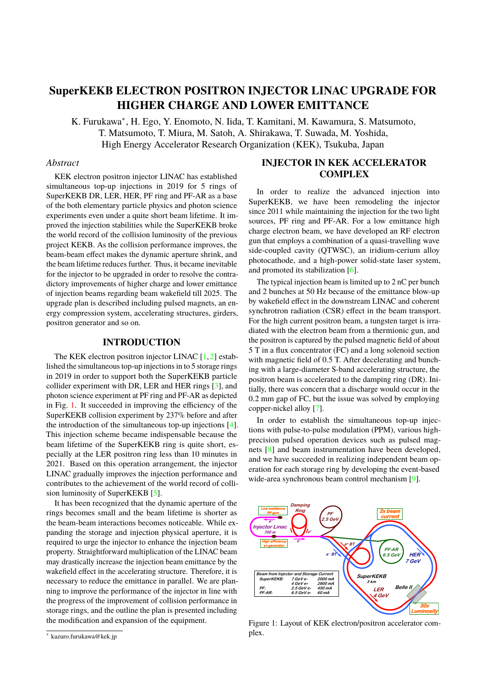# **SuperKEKB ELECTRON POSITRON INJECTOR LINAC UPGRADE FOR HIGHER CHARGE AND LOWER EMITTANCE**

K. Furukawa<sup>\*</sup>, H. Ego, Y. Enomoto, N. Iida, T. Kamitani, M. Kawamura, S. Matsumoto, T. Matsumoto, T. Miura, M. Satoh, A. Shirakawa, T. Suwada, M. Yoshida, High Energy Accelerator Research Organization (KEK), Tsukuba, Japan

#### *Abstract*

KEK electron positron injector LINAC has established simultaneous top-up injections in 2019 for 5 rings of SuperKEKB DR, LER, HER, PF ring and PF-AR as a base of the both elementary particle physics and photon science experiments even under a quite short beam lifetime. It improved the injection stabilities while the SuperKEKB broke the world record of the collision luminosity of the previous project KEKB. As the collision performance improves, the beam-beam effect makes the dynamic aperture shrink, and the beam lifetime reduces further. Thus, it became inevitable for the injector to be upgraded in order to resolve the contradictory improvements of higher charge and lower emittance of injection beams regarding beam wakefield till 2025. The upgrade plan is described including pulsed magnets, an energy compression system, accelerating structures, girders, positron generator and so on.

#### **INTRODUCTION**

The KEK electron positron injector LINAC  $[1, 2]$  $[1, 2]$  $[1, 2]$  established the simultaneous top-up injections in to 5 storage rings in 2019 in order to support both the SuperKEKB particle collider experiment with DR, LER and HER rings [\[3\]](#page-3-2), and photon science experiment at PF ring and PF-AR as depicted in Fig. [1.](#page-0-0) It succeeded in improving the efficiency of the SuperKEKB collision experiment by 237% before and after the introduction of the simultaneous top-up injections [\[4\]](#page-3-3). This injection scheme became indispensable because the beam lifetime of the SuperKEKB ring is quite short, especially at the LER positron ring less than 10 minutes in 2021. Based on this operation arrangement, the injector LINAC gradually improves the injection performance and contributes to the achievement of the world record of collision luminosity of SuperKEKB [\[5\]](#page-3-4).

It has been recognized that the dynamic aperture of the rings becomes small and the beam lifetime is shorter as the beam-beam interactions becomes noticeable. While expanding the storage and injection physical aperture, it is required to urge the injector to enhance the injection beam property. Straightforward multiplication of the LINAC beam may drastically increase the injection beam emittance by the wakefield effect in the accelerating structure. Therefore, it is necessary to reduce the emittance in parallel. We are planning to improve the performance of the injector in line with the progress of the improvement of collision performance in storage rings, and the outline the plan is presented including the modification and expansion of the equipment.

# **INJECTOR IN KEK ACCELERATOR COMPLEX**

In order to realize the advanced injection into SuperKEKB, we have been remodeling the injector since 2011 while maintaining the injection for the two light sources, PF ring and PF-AR. For a low emittance high charge electron beam, we have developed an RF electron gun that employs a combination of a quasi-travelling wave side-coupled cavity (QTWSC), an iridium-cerium alloy photocathode, and a high-power solid-state laser system, and promoted its stabilization [\[6\]](#page-3-5).

The typical injection beam is limited up to 2 nC per bunch and 2 bunches at 50 Hz because of the emittance blow-up by wakefield effect in the downstream LINAC and coherent synchrotron radiation (CSR) effect in the beam transport. For the high current positron beam, a tungsten target is irradiated with the electron beam from a thermionic gun, and the positron is captured by the pulsed magnetic field of about 5 T in a flux concentrator (FC) and a long solenoid section with magnetic field of  $0.5$  T. After decelerating and bunching with a large-diameter S-band accelerating structure, the positron beam is accelerated to the damping ring (DR). Initially, there was concern that a discharge would occur in the 0.2 mm gap of FC, but the issue was solved by employing copper-nickel alloy [\[7\]](#page-3-6).

In order to establish the simultaneous top-up injections with pulse-to-pulse modulation (PPM), various highprecision pulsed operation devices such as pulsed magnets [\[8\]](#page-3-7) and beam instrumentation have been developed, and we have succeeded in realizing independent beam operation for each storage ring by developing the event-based wide-area synchronous beam control mechanism [\[9\]](#page-3-8).

<span id="page-0-0"></span>

Figure 1: Layout of KEK electron/positron accelerator complex.

<sup>∗</sup> kazuro.furukawa@kek.jp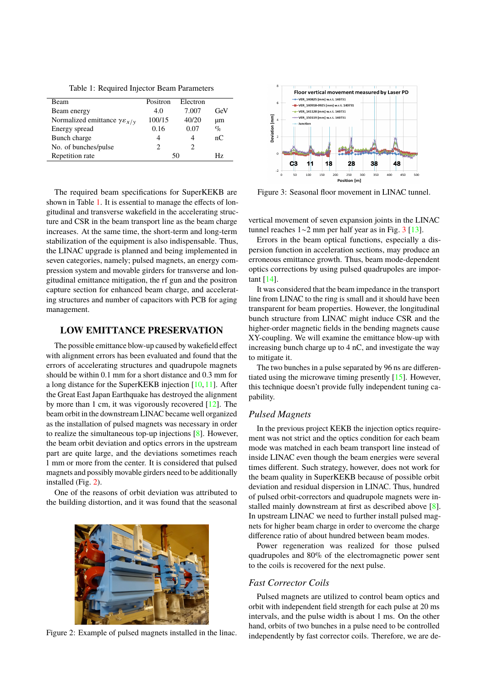Table 1: Required Injector Beam Parameters

<span id="page-1-0"></span>

| <b>Beam</b>                                     | Positron | Electron |      |
|-------------------------------------------------|----------|----------|------|
| Beam energy                                     | 4.0      | 7.007    | GeV  |
| Normalized emittance $\gamma \varepsilon_{x/y}$ | 100/15   | 40/20    | μm   |
| Energy spread                                   | 0.16     | 0.07     | $\%$ |
| Bunch charge                                    |          | 4        | nC   |
| No. of bunches/pulse                            |          |          |      |
| Repetition rate                                 | 50       |          | Нz   |

The required beam specifications for SuperKEKB are shown in Table [1.](#page-1-0) It is essential to manage the effects of longitudinal and transverse wakefield in the accelerating structure and CSR in the beam transport line as the beam charge increases. At the same time, the short-term and long-term stabilization of the equipment is also indispensable. Thus, the LINAC upgrade is planned and being implemented in seven categories, namely; pulsed magnets, an energy compression system and movable girders for transverse and longitudinal emittance mitigation, the rf gun and the positron capture section for enhanced beam charge, and accelerating structures and number of capacitors with PCB for aging management.

#### **LOW EMITTANCE PRESERVATION**

The possible emittance blow-up caused by wakefield effect with alignment errors has been evaluated and found that the errors of accelerating structures and quadrupole magnets should be within 0.1 mm for a short distance and 0.3 mm for a long distance for the SuperKEKB injection [\[10,](#page-3-9) [11\]](#page-3-10). After the Great East Japan Earthquake has destroyed the alignment by more than 1 cm, it was vigorously recovered [\[12\]](#page-3-11). The beam orbit in the downstream LINAC became well organized as the installation of pulsed magnets was necessary in order to realize the simultaneous top-up injections [\[8\]](#page-3-7). However, the beam orbit deviation and optics errors in the upstream part are quite large, and the deviations sometimes reach 1 mm or more from the center. It is considered that pulsed magnets and possibly movable girders need to be additionally installed (Fig. [2\)](#page-1-1).

One of the reasons of orbit deviation was attributed to the building distortion, and it was found that the seasonal

<span id="page-1-1"></span>

Figure 2: Example of pulsed magnets installed in the linac.

<span id="page-1-2"></span>

Figure 3: Seasonal floor movement in LINAC tunnel.

vertical movement of seven expansion joints in the LINAC tunnel reaches 1∼2 mm per half year as in Fig. [3](#page-1-2) [\[13\]](#page-3-12).

Errors in the beam optical functions, especially a dispersion function in acceleration sections, may produce an erroneous emittance growth. Thus, beam mode-dependent optics corrections by using pulsed quadrupoles are important [\[14\]](#page-3-13).

It was considered that the beam impedance in the transport line from LINAC to the ring is small and it should have been transparent for beam properties. However, the longitudinal bunch structure from LINAC might induce CSR and the higher-order magnetic fields in the bending magnets cause XY-coupling. We will examine the emittance blow-up with increasing bunch charge up to 4 nC, and investigate the way to mitigate it.

The two bunches in a pulse separated by 96 ns are differentiated using the microwave timing presently [\[15\]](#page-3-14). However, this technique doesn't provide fully independent tuning capability.

#### *Pulsed Magnets*

In the previous project KEKB the injection optics requirement was not strict and the optics condition for each beam mode was matched in each beam transport line instead of inside LINAC even though the beam energies were several times different. Such strategy, however, does not work for the beam quality in SuperKEKB because of possible orbit deviation and residual dispersion in LINAC. Thus, hundred of pulsed orbit-correctors and quadrupole magnets were installed mainly downstream at first as described above [\[8\]](#page-3-7). In upstream LINAC we need to further install pulsed magnets for higher beam charge in order to overcome the charge difference ratio of about hundred between beam modes.

Power regeneration was realized for those pulsed quadrupoles and 80% of the electromagnetic power sent to the coils is recovered for the next pulse.

#### *Fast Corrector Coils*

Pulsed magnets are utilized to control beam optics and orbit with independent field strength for each pulse at 20 ms intervals, and the pulse width is about 1 ms. On the other hand, orbits of two bunches in a pulse need to be controlled independently by fast corrector coils. Therefore, we are de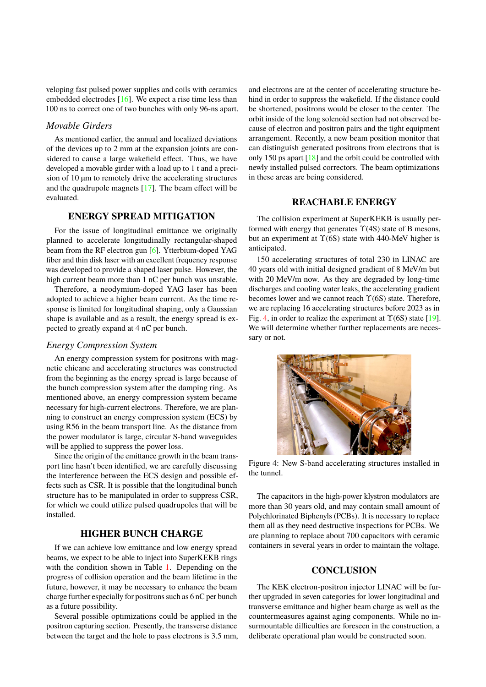veloping fast pulsed power supplies and coils with ceramics embedded electrodes [\[16\]](#page-3-15). We expect a rise time less than 100 ns to correct one of two bunches with only 96-ns apart.

#### *Movable Girders*

As mentioned earlier, the annual and localized deviations of the devices up to 2 mm at the expansion joints are considered to cause a large wakefield effect. Thus, we have developed a movable girder with a load up to 1 t and a precision of 10 µm to remotely drive the accelerating structures and the quadrupole magnets [\[17\]](#page-3-16). The beam effect will be evaluated.

# **ENERGY SPREAD MITIGATION**

For the issue of longitudinal emittance we originally planned to accelerate longitudinally rectangular-shaped beam from the RF electron gun [\[6\]](#page-3-5). Ytterbium-doped YAG fiber and thin disk laser with an excellent frequency response was developed to provide a shaped laser pulse. However, the high current beam more than 1 nC per bunch was unstable.

Therefore, a neodymium-doped YAG laser has been adopted to achieve a higher beam current. As the time response is limited for longitudinal shaping, only a Gaussian shape is available and as a result, the energy spread is expected to greatly expand at 4 nC per bunch.

#### *Energy Compression System*

An energy compression system for positrons with magnetic chicane and accelerating structures was constructed from the beginning as the energy spread is large because of the bunch compression system after the damping ring. As mentioned above, an energy compression system became necessary for high-current electrons. Therefore, we are planning to construct an energy compression system (ECS) by using R56 in the beam transport line. As the distance from the power modulator is large, circular S-band waveguides will be applied to suppress the power loss.

Since the origin of the emittance growth in the beam transport line hasn't been identified, we are carefully discussing the interference between the ECS design and possible effects such as CSR. It is possible that the longitudinal bunch structure has to be manipulated in order to suppress CSR, for which we could utilize pulsed quadrupoles that will be installed.

# **HIGHER BUNCH CHARGE**

If we can achieve low emittance and low energy spread beams, we expect to be able to inject into SuperKEKB rings with the condition shown in Table [1.](#page-1-0) Depending on the progress of collision operation and the beam lifetime in the future, however, it may be necessary to enhance the beam charge further especially for positrons such as 6 nC per bunch as a future possibility.

Several possible optimizations could be applied in the positron capturing section. Presently, the transverse distance between the target and the hole to pass electrons is 3.5 mm, and electrons are at the center of accelerating structure behind in order to suppress the wakefield. If the distance could be shortened, positrons would be closer to the center. The orbit inside of the long solenoid section had not observed because of electron and positron pairs and the tight equipment arrangement. Recently, a new beam position monitor that can distinguish generated positrons from electrons that is only 150 ps apart [\[18\]](#page-3-17) and the orbit could be controlled with newly installed pulsed correctors. The beam optimizations in these areas are being considered.

### **REACHABLE ENERGY**

The collision experiment at SuperKEKB is usually performed with energy that generates  $\Upsilon(4S)$  state of B mesons, but an experiment at  $\Upsilon(6S)$  state with 440-MeV higher is anticipated.

150 accelerating structures of total 230 in LINAC are 40 years old with initial designed gradient of 8 MeV/m but with 20 MeV/m now. As they are degraded by long-time discharges and cooling water leaks, the accelerating gradient becomes lower and we cannot reach  $\Upsilon(6S)$  state. Therefore, we are replacing 16 accelerating structures before 2023 as in Fig. [4,](#page-2-0) in order to realize the experiment at  $\Upsilon(6S)$  state [\[19\]](#page-3-18). We will determine whether further replacements are necessary or not.

<span id="page-2-0"></span>

Figure 4: New S-band accelerating structures installed in the tunnel.

The capacitors in the high-power klystron modulators are more than 30 years old, and may contain small amount of Polychlorinated Biphenyls (PCBs). It is necessary to replace them all as they need destructive inspections for PCBs. We are planning to replace about 700 capacitors with ceramic containers in several years in order to maintain the voltage.

#### **CONCLUSION**

The KEK electron-positron injector LINAC will be further upgraded in seven categories for lower longitudinal and transverse emittance and higher beam charge as well as the countermeasures against aging components. While no insurmountable difficulties are foreseen in the construction, a deliberate operational plan would be constructed soon.